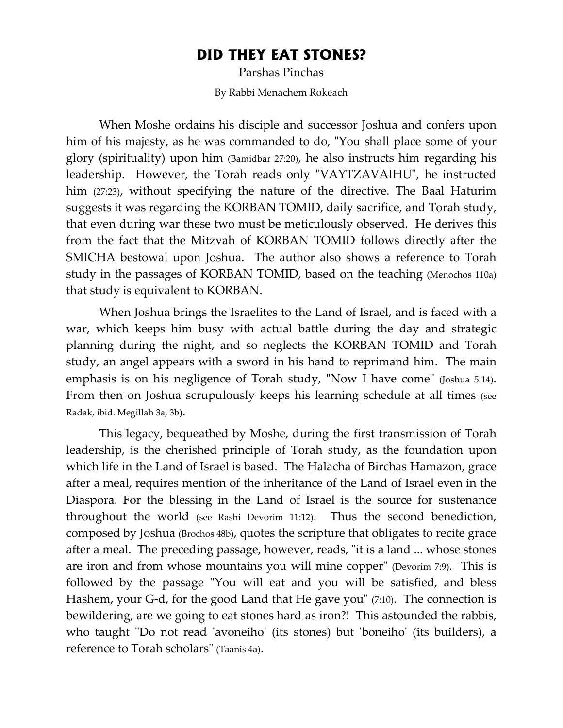## **DID THEY EAT STONES?**

Parshas Pinchas By Rabbi Menachem Rokeach

When Moshe ordains his disciple and successor Joshua and confers upon him of his majesty, as he was commanded to do, "You shall place some of your glory (spirituality) upon him (Bamidbar 27:20), he also instructs him regarding his leadership. However, the Torah reads only "VAYTZAVAIHU", he instructed him (27:23), without specifying the nature of the directive. The Baal Haturim suggests it was regarding the KORBAN TOMID, daily sacrifice, and Torah study, that even during war these two must be meticulously observed. He derives this from the fact that the Mitzvah of KORBAN TOMID follows directly after the SMICHA bestowal upon Joshua. The author also shows a reference to Torah study in the passages of KORBAN TOMID, based on the teaching (Menochos 110a) that study is equivalent to KORBAN.

When Joshua brings the Israelites to the Land of Israel, and is faced with a war, which keeps him busy with actual battle during the day and strategic planning during the night, and so neglects the KORBAN TOMID and Torah study, an angel appears with a sword in his hand to reprimand him. The main emphasis is on his negligence of Torah study, "Now I have come" (Joshua 5:14). From then on Joshua scrupulously keeps his learning schedule at all times (see Radak, ibid. Megillah 3a, 3b).

This legacy, bequeathed by Moshe, during the first transmission of Torah leadership, is the cherished principle of Torah study, as the foundation upon which life in the Land of Israel is based. The Halacha of Birchas Hamazon, grace after a meal, requires mention of the inheritance of the Land of Israel even in the Diaspora. For the blessing in the Land of Israel is the source for sustenance throughout the world (see Rashi Devorim 11:12). Thus the second benediction, composed by Joshua (Brochos 48b), quotes the scripture that obligates to recite grace after a meal. The preceding passage, however, reads, "it is a land ... whose stones are iron and from whose mountains you will mine copper" (Devorim 7:9). This is followed by the passage "You will eat and you will be satisfied, and bless Hashem, your G-d, for the good Land that He gave you" (7:10). The connection is bewildering, are we going to eat stones hard as iron?! This astounded the rabbis, who taught "Do not read 'avoneiho' (its stones) but 'boneiho' (its builders), a reference to Torah scholars" (Taanis 4a).